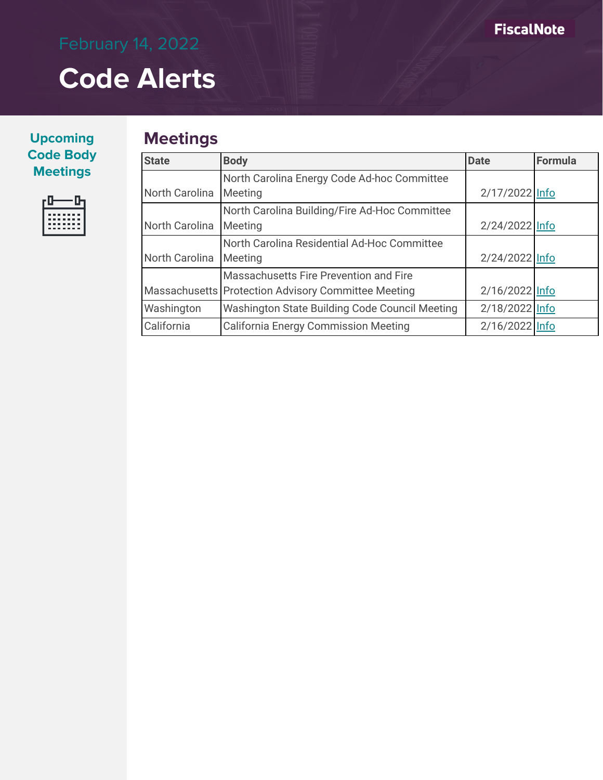| <b>Upcoming</b>  |
|------------------|
| <b>Code Body</b> |
| <b>Meetings</b>  |



# **Meetings**

| <b>State</b>          | <b>Body</b>                                           | <b>Date</b>    | Formula |
|-----------------------|-------------------------------------------------------|----------------|---------|
|                       | North Carolina Energy Code Ad-hoc Committee           |                |         |
| <b>North Carolina</b> | Meeting                                               | 2/17/2022 Info |         |
|                       | North Carolina Building/Fire Ad-Hoc Committee         |                |         |
| North Carolina        | Meeting                                               | 2/24/2022 Info |         |
|                       | North Carolina Residential Ad-Hoc Committee           |                |         |
| North Carolina        | Meeting                                               | 2/24/2022 Info |         |
|                       | Massachusetts Fire Prevention and Fire                |                |         |
|                       | Massachusetts   Protection Advisory Committee Meeting | 2/16/2022 Info |         |
| Washington            | Washington State Building Code Council Meeting        | 2/18/2022 Info |         |
| California            | California Energy Commission Meeting                  | 2/16/2022 Info |         |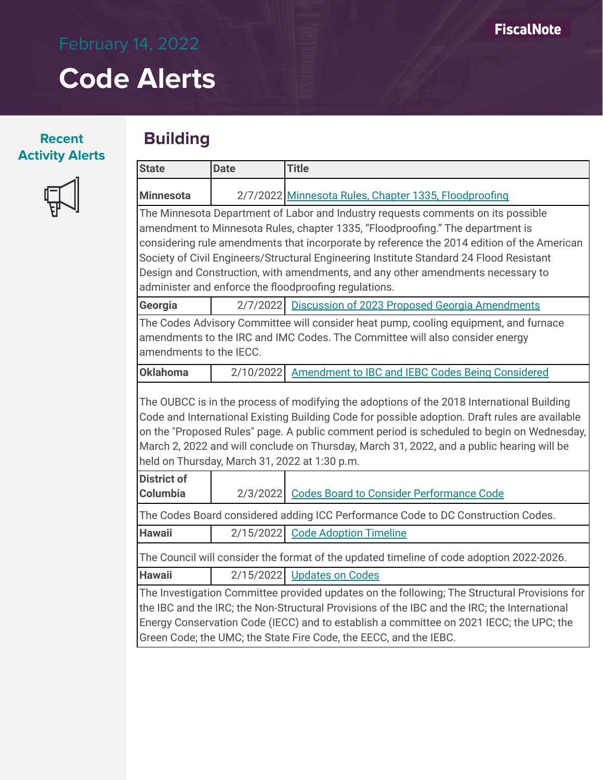## **Recent Activity Alerts**

பீ

## **Building**

|                                                                                | <b>Date</b> | <b>Title</b>                                                                                                                                                                                                                                                                             |  |  |  |
|--------------------------------------------------------------------------------|-------------|------------------------------------------------------------------------------------------------------------------------------------------------------------------------------------------------------------------------------------------------------------------------------------------|--|--|--|
| <b>Minnesota</b>                                                               |             | 2/7/2022 Minnesota Rules, Chapter 1335, Floodproofing                                                                                                                                                                                                                                    |  |  |  |
|                                                                                |             | The Minnesota Department of Labor and Industry requests comments on its possible                                                                                                                                                                                                         |  |  |  |
| amendment to Minnesota Rules, chapter 1335, "Floodproofing." The department is |             |                                                                                                                                                                                                                                                                                          |  |  |  |
|                                                                                |             | considering rule amendments that incorporate by reference the 2014 edition of the American                                                                                                                                                                                               |  |  |  |
|                                                                                |             | Society of Civil Engineers/Structural Engineering Institute Standard 24 Flood Resistant                                                                                                                                                                                                  |  |  |  |
|                                                                                |             | Design and Construction, with amendments, and any other amendments necessary to                                                                                                                                                                                                          |  |  |  |
|                                                                                |             | administer and enforce the floodproofing regulations.                                                                                                                                                                                                                                    |  |  |  |
| Georgia                                                                        |             | 2/7/2022 Discussion of 2023 Proposed Georgia Amendments                                                                                                                                                                                                                                  |  |  |  |
| amendments to the IECC.                                                        |             | The Codes Advisory Committee will consider heat pump, cooling equipment, and furnace<br>amendments to the IRC and IMC Codes. The Committee will also consider energy                                                                                                                     |  |  |  |
| <b>Oklahoma</b>                                                                | 2/10/2022   | <b>Amendment to IBC and IEBC Codes Being Considered</b>                                                                                                                                                                                                                                  |  |  |  |
|                                                                                |             | The OUBCC is in the process of modifying the adoptions of the 2018 International Building<br>Code and International Existing Building Code for possible adoption. Draft rules are available<br>on the "Proposed Rules" page. A public comment period is scheduled to begin on Wednesday, |  |  |  |
|                                                                                |             | March 2, 2022 and will conclude on Thursday, March 31, 2022, and a public hearing will be                                                                                                                                                                                                |  |  |  |
| <b>District of</b>                                                             |             | held on Thursday, March 31, 2022 at 1:30 p.m.                                                                                                                                                                                                                                            |  |  |  |
| Columbia                                                                       | 2/3/20221   | <b>Codes Board to Consider Performance Code</b>                                                                                                                                                                                                                                          |  |  |  |
|                                                                                |             | The Codes Board considered adding ICC Performance Code to DC Construction Codes.                                                                                                                                                                                                         |  |  |  |
| <b>Hawaii</b>                                                                  | 2/15/2022   | <b>Code Adoption Timeline</b>                                                                                                                                                                                                                                                            |  |  |  |
|                                                                                |             | The Council will consider the format of the updated timeline of code adoption 2022-2026.                                                                                                                                                                                                 |  |  |  |
| <b>Hawaii</b>                                                                  |             | 2/15/2022 Updates on Codes                                                                                                                                                                                                                                                               |  |  |  |
|                                                                                |             | The Investigation Committee provided updates on the following; The Structural Provisions for                                                                                                                                                                                             |  |  |  |
|                                                                                |             | the IBC and the IRC; the Non-Structural Provisions of the IBC and the IRC; the International                                                                                                                                                                                             |  |  |  |
|                                                                                |             | Energy Conservation Code (IECC) and to establish a committee on 2021 IECC; the UPC; the<br>Green Code; the UMC; the State Fire Code, the EECC, and the IEBC.                                                                                                                             |  |  |  |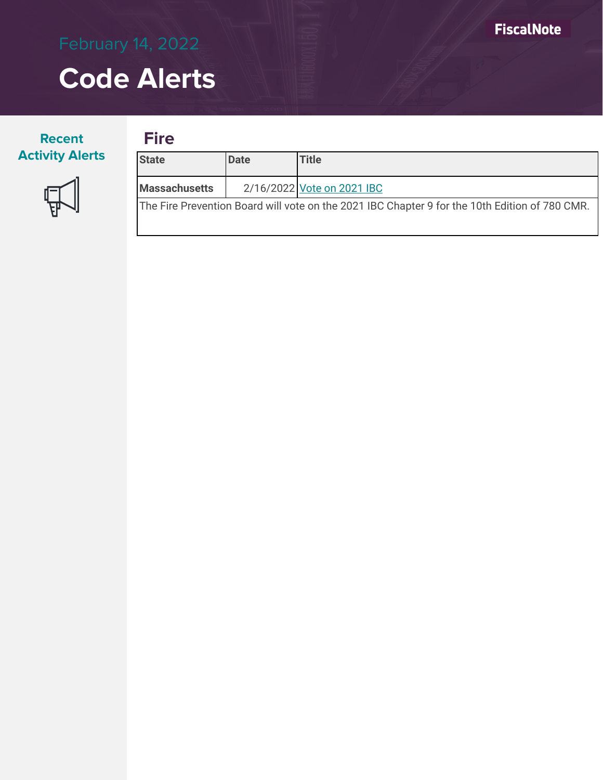## **Recent Activity Alerts**



| <b>State</b>                                                                                   | <b>IDate</b> | <b>Title</b>               |  |  |
|------------------------------------------------------------------------------------------------|--------------|----------------------------|--|--|
| <b>Massachusetts</b>                                                                           |              | 2/16/2022 Vote on 2021 IBC |  |  |
| The Fire Prevention Board will vote on the 2021 IBC Chapter 9 for the 10th Edition of 780 CMR. |              |                            |  |  |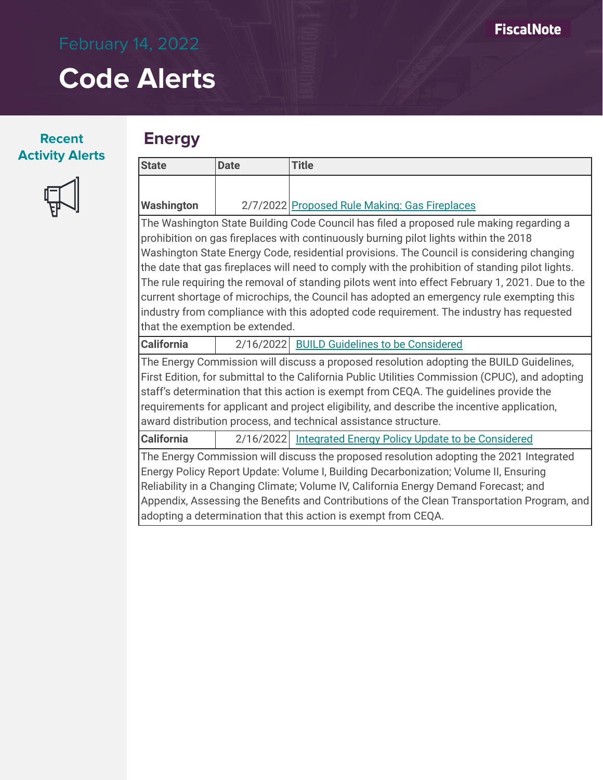### **Recent Activity Alerts**

## **Energy**



| <b>State</b>                    | <b>Date</b>                                                                                     | <b>Title</b>                                                                                    |  |  |  |
|---------------------------------|-------------------------------------------------------------------------------------------------|-------------------------------------------------------------------------------------------------|--|--|--|
|                                 |                                                                                                 |                                                                                                 |  |  |  |
| <b>Washington</b>               |                                                                                                 | 2/7/2022 Proposed Rule Making: Gas Fireplaces                                                   |  |  |  |
|                                 |                                                                                                 | The Washington State Building Code Council has filed a proposed rule making regarding a         |  |  |  |
|                                 |                                                                                                 | prohibition on gas fireplaces with continuously burning pilot lights within the 2018            |  |  |  |
|                                 |                                                                                                 | Washington State Energy Code, residential provisions. The Council is considering changing       |  |  |  |
|                                 | the date that gas fireplaces will need to comply with the prohibition of standing pilot lights. |                                                                                                 |  |  |  |
|                                 |                                                                                                 | The rule requiring the removal of standing pilots went into effect February 1, 2021. Due to the |  |  |  |
|                                 |                                                                                                 | current shortage of microchips, the Council has adopted an emergency rule exempting this        |  |  |  |
|                                 | industry from compliance with this adopted code requirement. The industry has requested         |                                                                                                 |  |  |  |
| that the exemption be extended. |                                                                                                 |                                                                                                 |  |  |  |
| <b>California</b>               | 2/16/2022                                                                                       | <b>BUILD Guidelines to be Considered</b>                                                        |  |  |  |
|                                 |                                                                                                 | The Energy Commission will discuss a proposed resolution adopting the BUILD Guidelines.         |  |  |  |

The Energy Commission will discuss a proposed resolution adopting the BUILD Guidelines, First Edition, for submittal to the California Public Utilities Commission (CPUC), and adopting staff's determination that this action is exempt from CEQA. The guidelines provide the requirements for applicant and project eligibility, and describe the incentive application, award distribution process, and technical assistance structure.

**California** 2/16/2022 [Integrated Energy Policy Update to be Considered](https://www.energy.ca.gov/sites/default/files/2022-02/2022-02-16_Business_Meeting_Agenda_ADA.pdf)

The Energy Commission will discuss the proposed resolution adopting the 2021 Integrated Energy Policy Report Update: Volume I, Building Decarbonization; Volume II, Ensuring Reliability in a Changing Climate; Volume IV, California Energy Demand Forecast; and Appendix, Assessing the Benefits and Contributions of the Clean Transportation Program, and adopting a determination that this action is exempt from CEQA.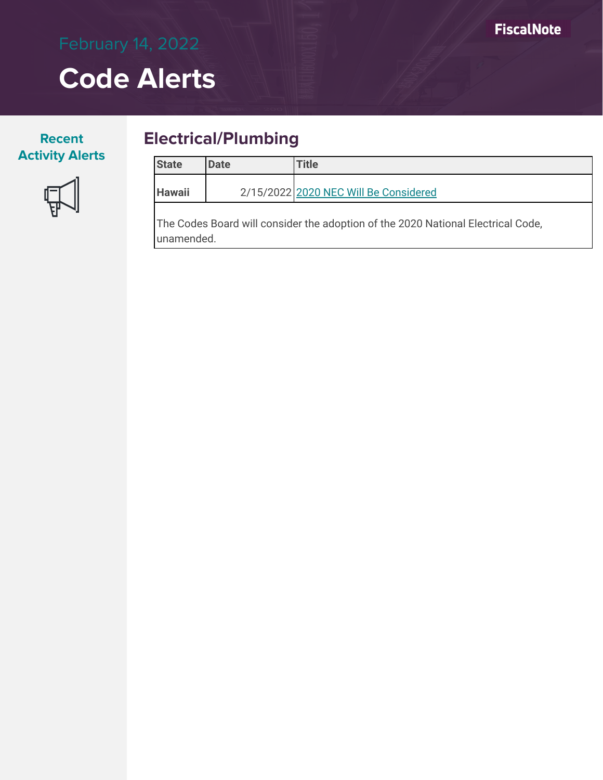## **Recent Activity Alerts**



## **Electrical/Plumbing**

| <b>State</b>  | <b>Date</b> | <b>Title</b>                                                                                              |
|---------------|-------------|-----------------------------------------------------------------------------------------------------------|
| <b>Hawaii</b> |             | 2/15/2022 2020 NEC Will Be Considered                                                                     |
|               |             | $\mathbf{r}$ , and $\mathbf{r}$ , and $\mathbf{r}$ , and $\mathbf{r}$ are $\mathbf{r}$ . The $\mathbf{r}$ |

The Codes Board will consider the adoption of the 2020 National Electrical Code, unamended.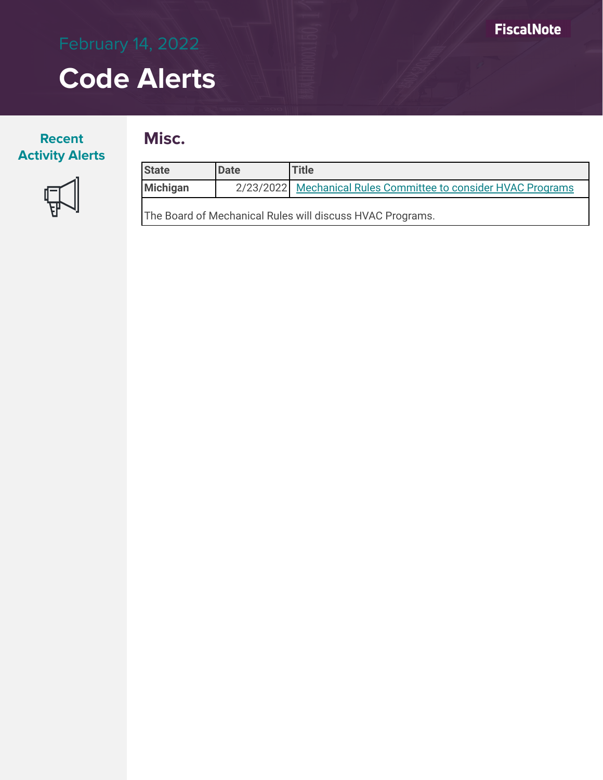## **Recent Activity Alerts**

## **Misc.**



| <b>State</b>                                              | <b>Date</b> | <b>Title</b>                                                   |  |  |  |
|-----------------------------------------------------------|-------------|----------------------------------------------------------------|--|--|--|
| Michigan                                                  |             | 2/23/2022 Mechanical Rules Committee to consider HVAC Programs |  |  |  |
| The Board of Mechanical Rules will discuss HVAC Programs. |             |                                                                |  |  |  |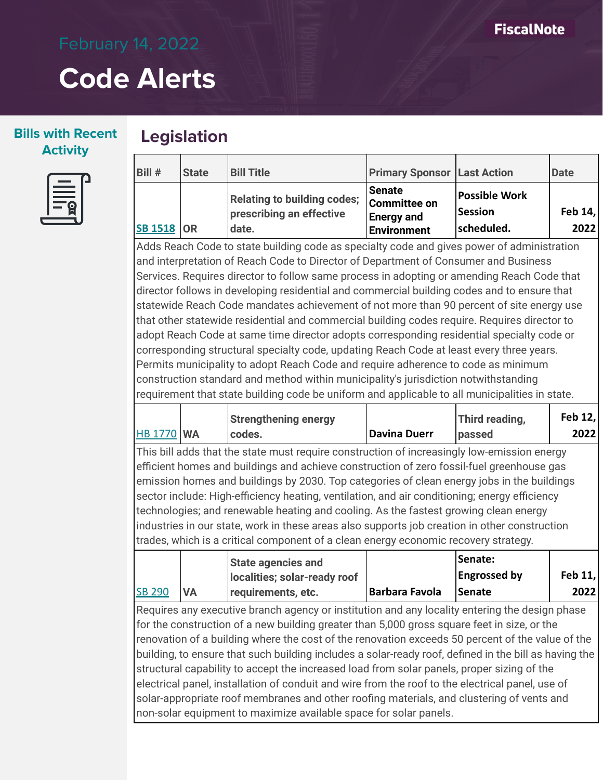### **Bills with Recent Activity**

## **Legislation**



| Bill #            | <b>State</b> | <b>Bill Title</b>                                                       | <b>Primary Sponsor Last Action</b>                                |                                               | Date              |
|-------------------|--------------|-------------------------------------------------------------------------|-------------------------------------------------------------------|-----------------------------------------------|-------------------|
| <b>SB 1518 OR</b> |              | <b>Relating to building codes;</b><br>prescribing an effective<br>date. | <b>Senate</b><br>Committee on<br><b>Energy and</b><br>Environment | Possible Work<br><b>Session</b><br>scheduled. | Feb $14,$<br>2022 |

Adds Reach Code to state building code as specialty code and gives power of administration and interpretation of Reach Code to Director of Department of Consumer and Business Services. Requires director to follow same process in adopting or amending Reach Code that director follows in developing residential and commercial building codes and to ensure that statewide Reach Code mandates achievement of not more than 90 percent of site energy use that other statewide residential and commercial building codes require. Requires director to adopt Reach Code at same time director adopts corresponding residential specialty code or corresponding structural specialty code, updating Reach Code at least every three years. Permits municipality to adopt Reach Code and require adherence to code as minimum construction standard and method within municipality's jurisdiction notwithstanding requirement that state building code be uniform and applicable to all municipalities in state.

| <b>HB 1770 WA</b>                                                                                                                                                                                                                                                                                                                                                                                                                                                                                                                                                                                                                                                                                                                                                                                    |           | <b>Strengthening energy</b><br>codes.                     | <b>Davina Duerr</b>   | Third reading,<br>passed                        | Feb 12,<br>2022 |
|------------------------------------------------------------------------------------------------------------------------------------------------------------------------------------------------------------------------------------------------------------------------------------------------------------------------------------------------------------------------------------------------------------------------------------------------------------------------------------------------------------------------------------------------------------------------------------------------------------------------------------------------------------------------------------------------------------------------------------------------------------------------------------------------------|-----------|-----------------------------------------------------------|-----------------------|-------------------------------------------------|-----------------|
| This bill adds that the state must require construction of increasingly low-emission energy<br>efficient homes and buildings and achieve construction of zero fossil-fuel greenhouse gas<br>emission homes and buildings by 2030. Top categories of clean energy jobs in the buildings<br>sector include: High-efficiency heating, ventilation, and air conditioning; energy efficiency<br>technologies; and renewable heating and cooling. As the fastest growing clean energy<br>industries in our state, work in these areas also supports job creation in other construction<br>trades, which is a critical component of a clean energy economic recovery strategy.                                                                                                                              |           |                                                           |                       |                                                 |                 |
| <b>SB 290</b>                                                                                                                                                                                                                                                                                                                                                                                                                                                                                                                                                                                                                                                                                                                                                                                        | <b>VA</b> | <b>State agencies and</b><br>localities; solar-ready roof | <b>Barbara Favola</b> | Senate:<br><b>Engrossed by</b><br><b>Senate</b> | Feb 11,<br>2022 |
| requirements, etc.<br>Requires any executive branch agency or institution and any locality entering the design phase<br>for the construction of a new building greater than 5,000 gross square feet in size, or the<br>renovation of a building where the cost of the renovation exceeds 50 percent of the value of the<br>building, to ensure that such building includes a solar-ready roof, defined in the bill as having the<br>structural capability to accept the increased load from solar panels, proper sizing of the<br>electrical panel, installation of conduit and wire from the roof to the electrical panel, use of<br>solar-appropriate roof membranes and other roofing materials, and clustering of vents and<br>non-solar equipment to maximize available space for solar panels. |           |                                                           |                       |                                                 |                 |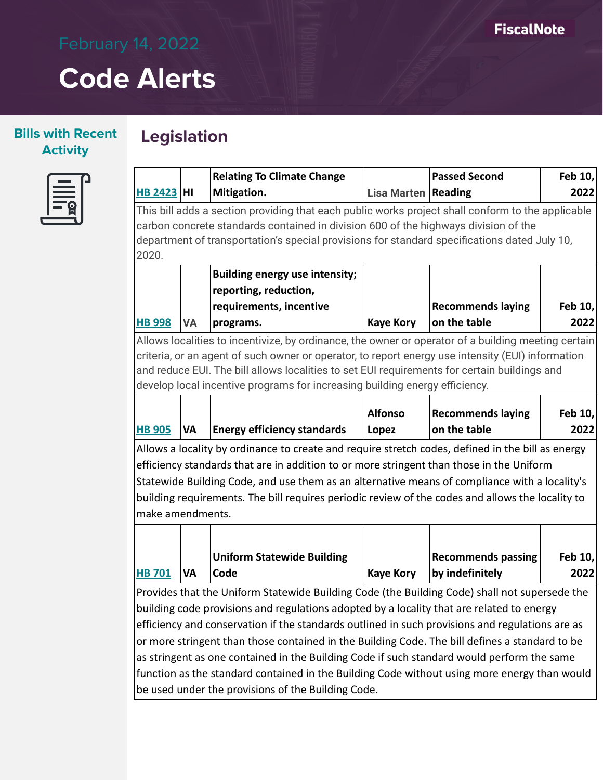## **Bills with Recent Activity**

# **Legislation**



|                                                                                                 |                                                                                                   | <b>Relating To Climate Change</b>                                                                   |                              | <b>Passed Second</b>      | Feb 10, |  |
|-------------------------------------------------------------------------------------------------|---------------------------------------------------------------------------------------------------|-----------------------------------------------------------------------------------------------------|------------------------------|---------------------------|---------|--|
| <b>HB 2423 HI</b>                                                                               |                                                                                                   | Mitigation.                                                                                         | <b>Lisa Marten   Reading</b> |                           | 2022    |  |
|                                                                                                 | This bill adds a section providing that each public works project shall conform to the applicable |                                                                                                     |                              |                           |         |  |
|                                                                                                 |                                                                                                   | carbon concrete standards contained in division 600 of the highways division of the                 |                              |                           |         |  |
|                                                                                                 |                                                                                                   | department of transportation's special provisions for standard specifications dated July 10,        |                              |                           |         |  |
| 2020.                                                                                           |                                                                                                   |                                                                                                     |                              |                           |         |  |
|                                                                                                 |                                                                                                   | <b>Building energy use intensity;</b>                                                               |                              |                           |         |  |
|                                                                                                 |                                                                                                   | reporting, reduction,                                                                               |                              |                           |         |  |
|                                                                                                 |                                                                                                   | requirements, incentive                                                                             |                              | <b>Recommends laying</b>  | Feb 10, |  |
| <b>HB 998</b>                                                                                   | <b>VA</b>                                                                                         | programs.                                                                                           | <b>Kaye Kory</b>             | on the table              | 2022    |  |
|                                                                                                 |                                                                                                   | Allows localities to incentivize, by ordinance, the owner or operator of a building meeting certain |                              |                           |         |  |
|                                                                                                 |                                                                                                   | criteria, or an agent of such owner or operator, to report energy use intensity (EUI) information   |                              |                           |         |  |
|                                                                                                 |                                                                                                   | and reduce EUI. The bill allows localities to set EUI requirements for certain buildings and        |                              |                           |         |  |
|                                                                                                 |                                                                                                   | develop local incentive programs for increasing building energy efficiency.                         |                              |                           |         |  |
|                                                                                                 |                                                                                                   |                                                                                                     | <b>Alfonso</b>               | <b>Recommends laying</b>  | Feb 10, |  |
| <b>HB 905</b>                                                                                   | <b>VA</b>                                                                                         | <b>Energy efficiency standards</b>                                                                  | Lopez                        | on the table              | 2022    |  |
|                                                                                                 |                                                                                                   |                                                                                                     |                              |                           |         |  |
|                                                                                                 |                                                                                                   | Allows a locality by ordinance to create and require stretch codes, defined in the bill as energy   |                              |                           |         |  |
|                                                                                                 |                                                                                                   | efficiency standards that are in addition to or more stringent than those in the Uniform            |                              |                           |         |  |
|                                                                                                 |                                                                                                   | Statewide Building Code, and use them as an alternative means of compliance with a locality's       |                              |                           |         |  |
|                                                                                                 |                                                                                                   | building requirements. The bill requires periodic review of the codes and allows the locality to    |                              |                           |         |  |
| make amendments.                                                                                |                                                                                                   |                                                                                                     |                              |                           |         |  |
|                                                                                                 |                                                                                                   |                                                                                                     |                              |                           |         |  |
|                                                                                                 |                                                                                                   | <b>Uniform Statewide Building</b>                                                                   |                              | <b>Recommends passing</b> | Feb 10, |  |
| <b>HB 701</b>                                                                                   | <b>VA</b>                                                                                         | Code                                                                                                | <b>Kaye Kory</b>             | by indefinitely           | 2022    |  |
|                                                                                                 | Provides that the Uniform Statewide Building Code (the Building Code) shall not supersede the     |                                                                                                     |                              |                           |         |  |
| building code provisions and regulations adopted by a locality that are related to energy       |                                                                                                   |                                                                                                     |                              |                           |         |  |
| efficiency and conservation if the standards outlined in such provisions and regulations are as |                                                                                                   |                                                                                                     |                              |                           |         |  |
| or more stringent than those contained in the Building Code. The bill defines a standard to be  |                                                                                                   |                                                                                                     |                              |                           |         |  |
| as stringent as one contained in the Building Code if such standard would perform the same      |                                                                                                   |                                                                                                     |                              |                           |         |  |
| function as the standard contained in the Building Code without using more energy than would    |                                                                                                   |                                                                                                     |                              |                           |         |  |
| be used under the provisions of the Building Code.                                              |                                                                                                   |                                                                                                     |                              |                           |         |  |
|                                                                                                 |                                                                                                   |                                                                                                     |                              |                           |         |  |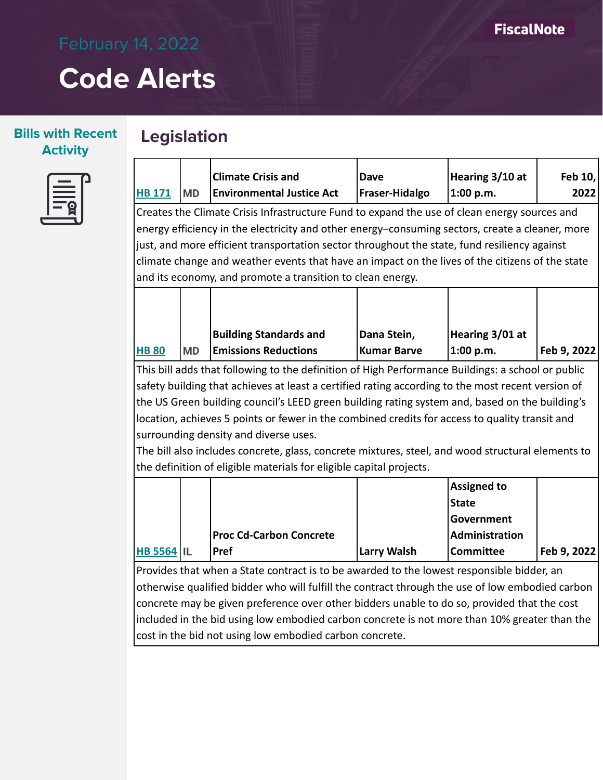## **Bills with Recent Activity**

# **Legislation**



|                                                                                                 |                                                                                           | <b>Climate Crisis and</b>                                                                         | Dave                  | Hearing 3/10 at    | Feb 10,     |  |
|-------------------------------------------------------------------------------------------------|-------------------------------------------------------------------------------------------|---------------------------------------------------------------------------------------------------|-----------------------|--------------------|-------------|--|
| <b>HB 171</b>                                                                                   | <b>MD</b>                                                                                 | <b>Environmental Justice Act</b>                                                                  | <b>Fraser-Hidalgo</b> | 1:00 p.m.          | 2022        |  |
|                                                                                                 |                                                                                           | Creates the Climate Crisis Infrastructure Fund to expand the use of clean energy sources and      |                       |                    |             |  |
|                                                                                                 |                                                                                           | energy efficiency in the electricity and other energy-consuming sectors, create a cleaner, more   |                       |                    |             |  |
|                                                                                                 |                                                                                           | just, and more efficient transportation sector throughout the state, fund resiliency against      |                       |                    |             |  |
|                                                                                                 |                                                                                           | climate change and weather events that have an impact on the lives of the citizens of the state   |                       |                    |             |  |
|                                                                                                 |                                                                                           | and its economy, and promote a transition to clean energy.                                        |                       |                    |             |  |
|                                                                                                 |                                                                                           |                                                                                                   |                       |                    |             |  |
|                                                                                                 |                                                                                           |                                                                                                   |                       |                    |             |  |
|                                                                                                 |                                                                                           | <b>Building Standards and</b>                                                                     | Dana Stein,           | Hearing 3/01 at    |             |  |
| <b>HB 80</b>                                                                                    | <b>MD</b>                                                                                 | <b>Emissions Reductions</b>                                                                       | <b>Kumar Barve</b>    | 1:00 p.m.          | Feb 9, 2022 |  |
|                                                                                                 |                                                                                           | This bill adds that following to the definition of High Performance Buildings: a school or public |                       |                    |             |  |
|                                                                                                 |                                                                                           | safety building that achieves at least a certified rating according to the most recent version of |                       |                    |             |  |
|                                                                                                 |                                                                                           | the US Green building council's LEED green building rating system and, based on the building's    |                       |                    |             |  |
|                                                                                                 |                                                                                           | location, achieves 5 points or fewer in the combined credits for access to quality transit and    |                       |                    |             |  |
|                                                                                                 |                                                                                           | surrounding density and diverse uses.                                                             |                       |                    |             |  |
|                                                                                                 |                                                                                           | The bill also includes concrete, glass, concrete mixtures, steel, and wood structural elements to |                       |                    |             |  |
|                                                                                                 |                                                                                           | the definition of eligible materials for eligible capital projects.                               |                       |                    |             |  |
|                                                                                                 |                                                                                           |                                                                                                   |                       | <b>Assigned to</b> |             |  |
|                                                                                                 |                                                                                           |                                                                                                   |                       | <b>State</b>       |             |  |
|                                                                                                 |                                                                                           |                                                                                                   |                       | Government         |             |  |
|                                                                                                 |                                                                                           | <b>Proc Cd-Carbon Concrete</b>                                                                    |                       | Administration     |             |  |
| <b>HB 5564 IL</b>                                                                               |                                                                                           | Pref                                                                                              | <b>Larry Walsh</b>    | <b>Committee</b>   | Feb 9, 2022 |  |
|                                                                                                 | Provides that when a State contract is to be awarded to the lowest responsible bidder, an |                                                                                                   |                       |                    |             |  |
| otherwise qualified bidder who will fulfill the contract through the use of low embodied carbon |                                                                                           |                                                                                                   |                       |                    |             |  |
| concrete may be given preference over other bidders unable to do so, provided that the cost     |                                                                                           |                                                                                                   |                       |                    |             |  |
| included in the bid using low embodied carbon concrete is not more than 10% greater than the    |                                                                                           |                                                                                                   |                       |                    |             |  |
|                                                                                                 |                                                                                           | cost in the bid not using low embodied carbon concrete.                                           |                       |                    |             |  |
|                                                                                                 |                                                                                           |                                                                                                   |                       |                    |             |  |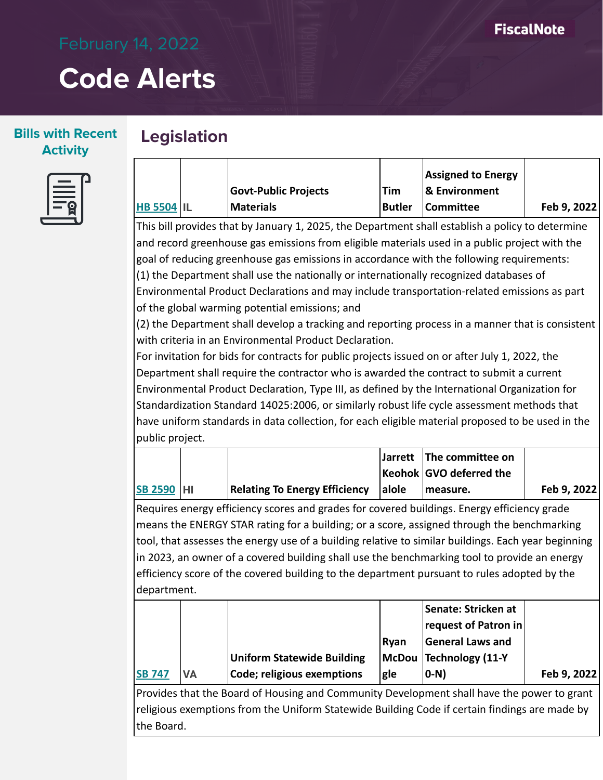### **Bills with Recent Activity**

# **Legislation**

| Ξ |  |
|---|--|
|   |  |
|   |  |

|                   |                             |        | <b>Assigned to Energy</b> |             |
|-------------------|-----------------------------|--------|---------------------------|-------------|
|                   | <b>Govt-Public Projects</b> | Tim    | <b>8</b> Environment      |             |
| <b>HB 5504 IL</b> | Materials                   | Butler | <b>Committee</b>          | Feb 9, 2022 |

This bill provides that by January 1, 2025, the Department shall establish a policy to determine and record greenhouse gas emissions from eligible materials used in a public project with the goal of reducing greenhouse gas emissions in accordance with the following requirements: (1) the Department shall use the nationally or internationally recognized databases of Environmental Product Declarations and may include transportation-related emissions as part of the global warming potential emissions; and

(2) the Department shall develop a tracking and reporting process in a manner that is consistent with criteria in an Environmental Product Declaration.

For invitation for bids for contracts for public projects issued on or after July 1, 2022, the Department shall require the contractor who is awarded the contract to submit a current Environmental Product Declaration, Type III, as defined by the International Organization for Standardization Standard 14025:2006, or similarly robust life cycle assessment methods that have uniform standards in data collection, for each eligible material proposed to be used in the public project.

|                   |                                      |       | Jarrett The committee on |             |
|-------------------|--------------------------------------|-------|--------------------------|-------------|
|                   |                                      |       | Keohok GVO deferred the  |             |
| <b>SB 2590 HI</b> | <b>Relating To Energy Efficiency</b> | alole | measure.                 | Feb 9, 2022 |

Requires energy efficiency scores and grades for covered buildings. Energy efficiency grade means the ENERGY STAR rating for a building; or a score, assigned through the benchmarking tool, that assesses the energy use of a building relative to similar buildings. Each year beginning in 2023, an owner of a covered building shall use the benchmarking tool to provide an energy efficiency score of the covered building to the department pursuant to rules adopted by the department.

|               |           |                                   |      | Senate: Stricken at     |             |
|---------------|-----------|-----------------------------------|------|-------------------------|-------------|
|               |           |                                   |      | request of Patron in    |             |
|               |           |                                   | Rvan | <b>General Laws and</b> |             |
|               |           | <b>Uniform Statewide Building</b> |      | McDou Technology (11-Y  |             |
| <b>SB 747</b> | <b>VA</b> | Code; religious exemptions        | gle  | 0-N)                    | Feb 9, 2022 |

Provides that the Board of Housing and Community Development shall have the power to grant religious exemptions from the Uniform Statewide Building Code if certain findings are made by the Board.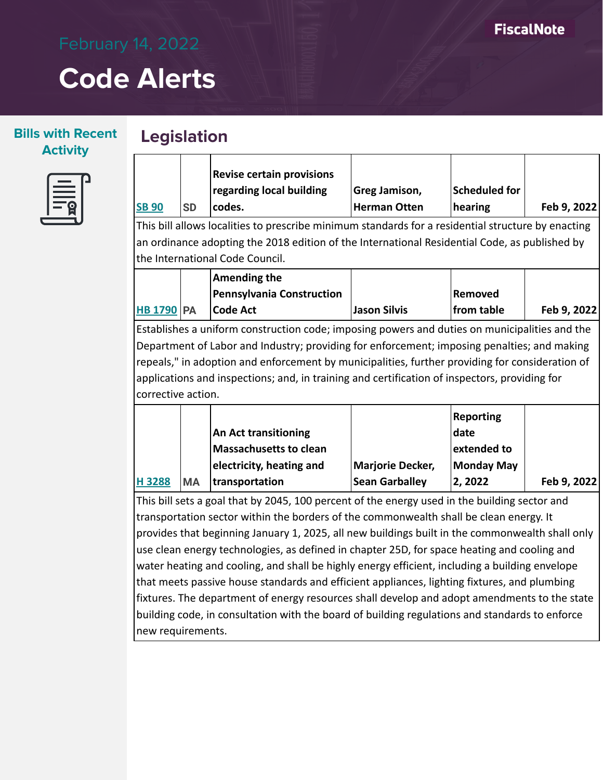## **Bills with Recent Activity**



## **Legislation**

| <b>SB 90</b>                                                                                       | <b>SD</b> | <b>Revise certain provisions</b><br>regarding local building<br>codes. | Greg Jamison,<br>Herman Otten | Scheduled for<br>hearing | Feb 9, 2022 |  |  |
|----------------------------------------------------------------------------------------------------|-----------|------------------------------------------------------------------------|-------------------------------|--------------------------|-------------|--|--|
| This bill allows localities to prescribe minimum standards for a residential structure by enacting |           |                                                                        |                               |                          |             |  |  |

an ordinance adopting the 2018 edition of the International Residential Code, as published by the International Code Council.

|                   | Amending the              |              |            |             |
|-------------------|---------------------------|--------------|------------|-------------|
|                   | Pennsylvania Construction |              | Removed    |             |
| <b>HB 1790 PA</b> | Code Act                  | Jason Silvis | from table | Feb 9, 2022 |

Establishes a uniform construction code; imposing powers and duties on municipalities and the Department of Labor and Industry; providing for enforcement; imposing penalties; and making repeals," in adoption and enforcement by municipalities, further providing for consideration of applications and inspections; and, in training and certification of inspectors, providing for corrective action.

|       |            |                             |                  | Reporting   |             |
|-------|------------|-----------------------------|------------------|-------------|-------------|
|       |            | <b>An Act transitioning</b> |                  | date        |             |
|       |            | Massachusetts to clean      |                  | extended to |             |
|       |            | electricity, heating and    | Marjorie Decker, | Monday May  |             |
| H3288 | <b>IMA</b> | transportation              | Sean Garballey   | 2, 2022     | Feb 9, 2022 |

This bill sets a goal that by 2045, 100 percent of the energy used in the building sector and transportation sector within the borders of the commonwealth shall be clean energy. It provides that beginning January 1, 2025, all new buildings built in the commonwealth shall only use clean energy technologies, as defined in chapter 25D, for space heating and cooling and water heating and cooling, and shall be highly energy efficient, including a building envelope that meets passive house standards and efficient appliances, lighting fixtures, and plumbing fixtures. The department of energy resources shall develop and adopt amendments to the state building code, in consultation with the board of building regulations and standards to enforce new requirements.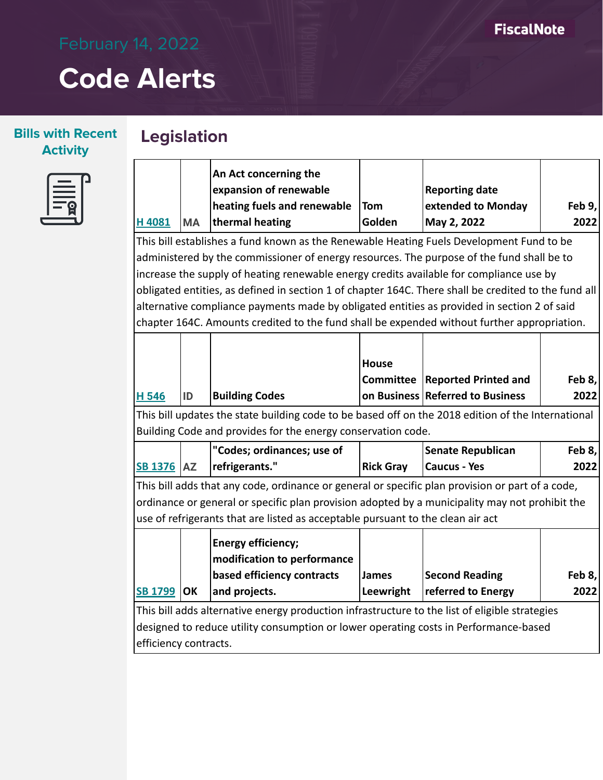**Legislation**

## **Bills with Recent Activity**



|                       |           | An Act concerning the                                                                                |                  |                                  |        |  |  |
|-----------------------|-----------|------------------------------------------------------------------------------------------------------|------------------|----------------------------------|--------|--|--|
|                       |           | expansion of renewable                                                                               |                  | <b>Reporting date</b>            |        |  |  |
|                       |           | heating fuels and renewable                                                                          | Tom              | extended to Monday               | Feb 9, |  |  |
| H4081                 | <b>MA</b> | thermal heating                                                                                      | Golden           | May 2, 2022                      | 2022   |  |  |
|                       |           | This bill establishes a fund known as the Renewable Heating Fuels Development Fund to be             |                  |                                  |        |  |  |
|                       |           | administered by the commissioner of energy resources. The purpose of the fund shall be to            |                  |                                  |        |  |  |
|                       |           | increase the supply of heating renewable energy credits available for compliance use by              |                  |                                  |        |  |  |
|                       |           | obligated entities, as defined in section 1 of chapter 164C. There shall be credited to the fund all |                  |                                  |        |  |  |
|                       |           | alternative compliance payments made by obligated entities as provided in section 2 of said          |                  |                                  |        |  |  |
|                       |           | chapter 164C. Amounts credited to the fund shall be expended without further appropriation.          |                  |                                  |        |  |  |
|                       |           |                                                                                                      |                  |                                  |        |  |  |
|                       |           |                                                                                                      | <b>House</b>     |                                  |        |  |  |
|                       |           |                                                                                                      | <b>Committee</b> | <b>Reported Printed and</b>      | Feb 8, |  |  |
| H 546                 | ID        | <b>Building Codes</b>                                                                                |                  | on Business Referred to Business | 2022   |  |  |
|                       |           | This bill updates the state building code to be based off on the 2018 edition of the International   |                  |                                  |        |  |  |
|                       |           | Building Code and provides for the energy conservation code.                                         |                  |                                  |        |  |  |
|                       |           | "Codes; ordinances; use of                                                                           |                  | <b>Senate Republican</b>         | Feb 8, |  |  |
| <b>SB 1376 AZ</b>     |           | refrigerants."                                                                                       | <b>Rick Gray</b> | <b>Caucus - Yes</b>              | 2022   |  |  |
|                       |           | This bill adds that any code, ordinance or general or specific plan provision or part of a code,     |                  |                                  |        |  |  |
|                       |           | ordinance or general or specific plan provision adopted by a municipality may not prohibit the       |                  |                                  |        |  |  |
|                       |           | use of refrigerants that are listed as acceptable pursuant to the clean air act                      |                  |                                  |        |  |  |
|                       |           | <b>Energy efficiency;</b>                                                                            |                  |                                  |        |  |  |
|                       |           | modification to performance                                                                          |                  |                                  |        |  |  |
|                       |           | based efficiency contracts                                                                           | <b>James</b>     | <b>Second Reading</b>            | Feb 8, |  |  |
| <b>SB 1799</b>        | <b>OK</b> | and projects.                                                                                        | Leewright        | referred to Energy               | 2022   |  |  |
|                       |           | This bill adds alternative energy production infrastructure to the list of eligible strategies       |                  |                                  |        |  |  |
|                       |           | designed to reduce utility consumption or lower operating costs in Performance-based                 |                  |                                  |        |  |  |
| efficiency contracts. |           |                                                                                                      |                  |                                  |        |  |  |
|                       |           |                                                                                                      |                  |                                  |        |  |  |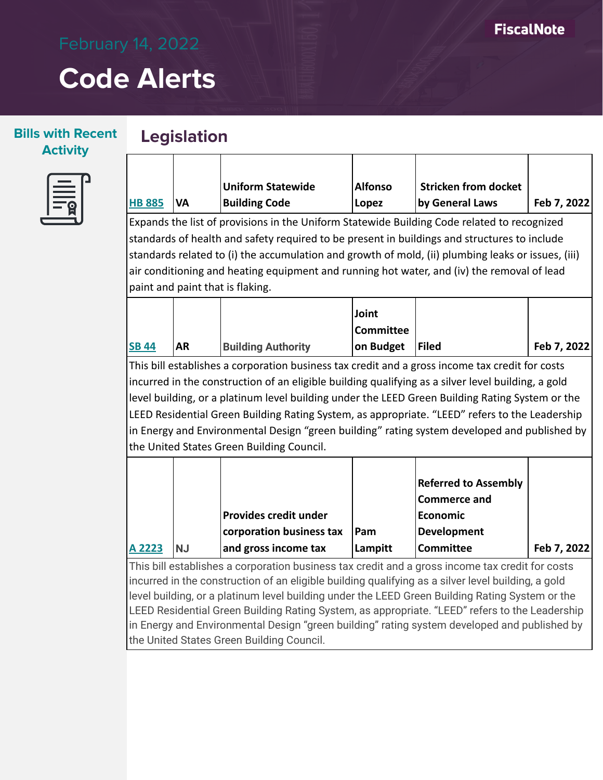### **Bills with Recent Activity**



|               |            | Uniform Statewide    | <b>Alfonso</b> | Stricken from docket |             |
|---------------|------------|----------------------|----------------|----------------------|-------------|
| <b>HB 885</b> | <b>IVA</b> | <b>Building Code</b> | Lopez          | by General Laws      | Feb 7, 2022 |

Expands the list of provisions in the Uniform Statewide Building Code related to recognized standards of health and safety required to be present in buildings and structures to include standards related to (i) the accumulation and growth of mold, (ii) plumbing leaks or issues, (iii) air conditioning and heating equipment and running hot water, and (iv) the removal of lead paint and paint that is flaking.

|              |           |                           | Joint            |       |             |
|--------------|-----------|---------------------------|------------------|-------|-------------|
|              |           |                           | <b>Committee</b> |       |             |
| <b>SB 44</b> | <b>AR</b> | <b>Building Authority</b> | on Budget        | Filed | Feb 7, 2022 |

This bill establishes a corporation business tax credit and a gross income tax credit for costs incurred in the construction of an eligible building qualifying as a silver level building, a gold level building, or a platinum level building under the LEED Green Building Rating System or the LEED Residential Green Building Rating System, as appropriate. "LEED" refers to the Leadership in Energy and Environmental Design "green building" rating system developed and published by the United States Green Building Council.

|        |           |                              |         | <b>Referred to Assembly</b> |             |
|--------|-----------|------------------------------|---------|-----------------------------|-------------|
|        |           |                              |         | <b>Commerce and</b>         |             |
|        |           | <b>Provides credit under</b> |         | <b>Economic</b>             |             |
|        |           | corporation business tax     | Pam     | <b>Development</b>          |             |
| A 2223 | <b>NJ</b> | and gross income tax         | Lampitt | <b>Committee</b>            | Feb 7, 2022 |

This bill establishes a corporation business tax credit and a gross income tax credit for costs incurred in the construction of an eligible building qualifying as a silver level building, a gold level building, or a platinum level building under the LEED Green Building Rating System or the LEED Residential Green Building Rating System, as appropriate. "LEED" refers to the Leadership in Energy and Environmental Design "green building" rating system developed and published by the United States Green Building Council.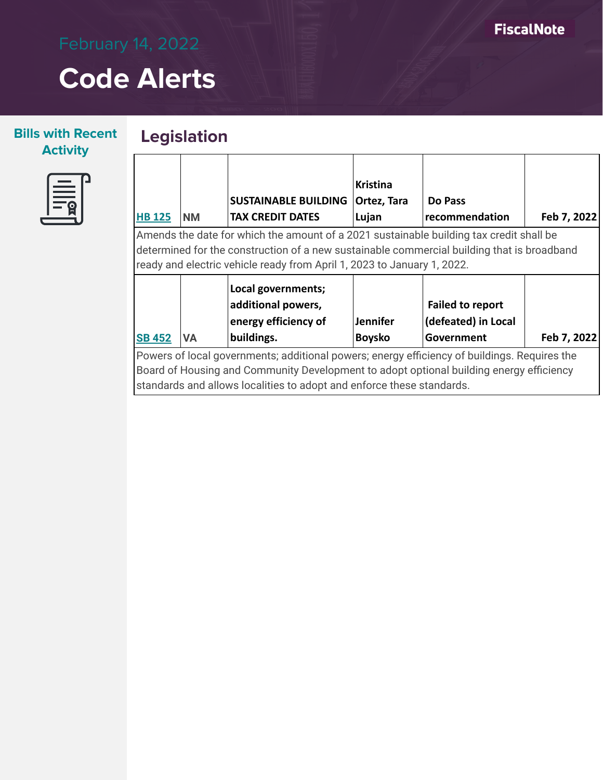### **Bills with Recent Activity**

## **Legislation**



|                                                                                                                                                                                                                                                                  |           |                                                                                | <b>Kristina</b>                  |                                                              |             |
|------------------------------------------------------------------------------------------------------------------------------------------------------------------------------------------------------------------------------------------------------------------|-----------|--------------------------------------------------------------------------------|----------------------------------|--------------------------------------------------------------|-------------|
|                                                                                                                                                                                                                                                                  |           | <b>SUSTAINABLE BUILDING</b>                                                    | Ortez, Tara                      | Do Pass                                                      |             |
| <b>HB 125</b>                                                                                                                                                                                                                                                    | <b>NM</b> | <b>TAX CREDIT DATES</b>                                                        | Lujan                            | recommendation                                               | Feb 7, 2022 |
| Amends the date for which the amount of a 2021 sustainable building tax credit shall be<br>determined for the construction of a new sustainable commercial building that is broadband<br>ready and electric vehicle ready from April 1, 2023 to January 1, 2022. |           |                                                                                |                                  |                                                              |             |
| <b>SB 452</b>                                                                                                                                                                                                                                                    | <b>VA</b> | Local governments;<br>additional powers,<br>energy efficiency of<br>buildings. | <b>Jennifer</b><br><b>Boysko</b> | <b>Failed to report</b><br>(defeated) in Local<br>Government | Feb 7, 2022 |
| Powers of local governments; additional powers; energy efficiency of buildings. Requires the<br>Board of Housing and Community Development to adopt optional building energy efficiency                                                                          |           |                                                                                |                                  |                                                              |             |

standards and allows localities to adopt and enforce these standards.